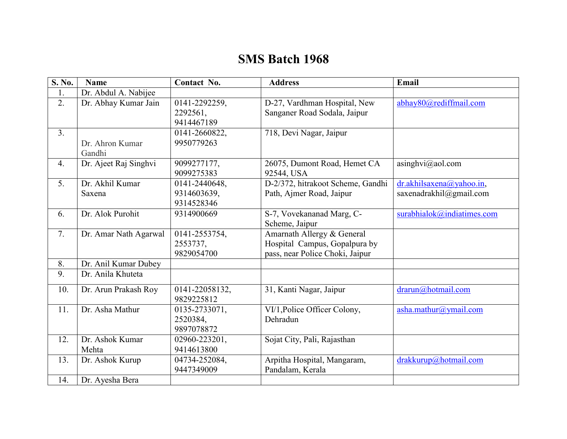## **SMS Batch 1968**

| S. No.         | <b>Name</b>               | Contact No.                                | <b>Address</b>                                                                                 | Email                                               |
|----------------|---------------------------|--------------------------------------------|------------------------------------------------------------------------------------------------|-----------------------------------------------------|
| 1.             | Dr. Abdul A. Nabijee      |                                            |                                                                                                |                                                     |
| 2.             | Dr. Abhay Kumar Jain      | 0141-2292259,<br>2292561,<br>9414467189    | D-27, Vardhman Hospital, New<br>Sanganer Road Sodala, Jaipur                                   | abhay80@rediffmail.com                              |
| 3 <sub>1</sub> | Dr. Ahron Kumar<br>Gandhi | 0141-2660822,<br>9950779263                | 718, Devi Nagar, Jaipur                                                                        |                                                     |
| 4.             | Dr. Ajeet Raj Singhvi     | 9099277177,<br>9099275383                  | 26075, Dumont Road, Hemet CA<br>92544, USA                                                     | $a$ singhvi $(a)$ aol.com                           |
| 5.             | Dr. Akhil Kumar<br>Saxena | 0141-2440648,<br>9314603639,<br>9314528346 | D-2/372, hitrakoot Scheme, Gandhi<br>Path, Ajmer Road, Jaipur                                  | dr.akhilsaxena@yahoo.in,<br>saxenadrakhil@gmail.com |
| 6.             | Dr. Alok Purohit          | 9314900669                                 | S-7, Vovekananad Marg, C-<br>Scheme, Jaipur                                                    | surabhialok@indiatimes.com                          |
| 7.             | Dr. Amar Nath Agarwal     | 0141-2553754,<br>2553737,<br>9829054700    | Amarnath Allergy & General<br>Hospital Campus, Gopalpura by<br>pass, near Police Choki, Jaipur |                                                     |
| 8.             | Dr. Anil Kumar Dubey      |                                            |                                                                                                |                                                     |
| 9.             | Dr. Anila Khuteta         |                                            |                                                                                                |                                                     |
| 10.            | Dr. Arun Prakash Roy      | 0141-22058132,<br>9829225812               | 31, Kanti Nagar, Jaipur                                                                        | $d$ rarun@hotmail.com                               |
| 11.            | Dr. Asha Mathur           | 0135-2733071,<br>2520384,<br>9897078872    | VI/1, Police Officer Colony,<br>Dehradun                                                       | asha.mathur@ymail.com                               |
| 12.            | Dr. Ashok Kumar<br>Mehta  | 02960-223201,<br>9414613800                | Sojat City, Pali, Rajasthan                                                                    |                                                     |
| 13.            | Dr. Ashok Kurup           | 04734-252084,<br>9447349009                | Arpitha Hospital, Mangaram,<br>Pandalam, Kerala                                                | drakkurup@hotmail.com                               |
| 14.            | Dr. Ayesha Bera           |                                            |                                                                                                |                                                     |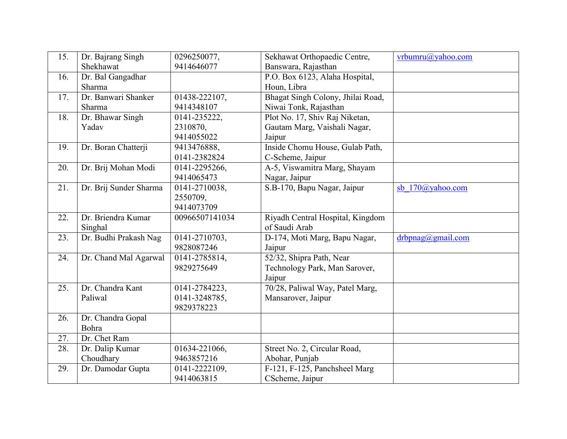| 15. | Dr. Bajrang Singh      | 0296250077,    | Sekhawat Orthopaedic Centre,      | vrbumru@yahoo.com   |
|-----|------------------------|----------------|-----------------------------------|---------------------|
|     | Shekhawat              | 9414646077     | Banswara, Rajasthan               |                     |
| 16. | Dr. Bal Gangadhar      |                | P.O. Box 6123, Alaha Hospital,    |                     |
|     | Sharma                 |                | Houn, Libra                       |                     |
| 17. | Dr. Banwari Shanker    | 01438-222107,  | Bhagat Singh Colony, Jhilai Road, |                     |
|     | Sharma                 | 9414348107     | Niwai Tonk, Rajasthan             |                     |
| 18. | Dr. Bhawar Singh       | 0141-235222,   | Plot No. 17, Shiv Raj Niketan,    |                     |
|     | Yadav                  | 2310870,       | Gautam Marg, Vaishali Nagar,      |                     |
|     |                        | 9414055022     | Jaipur                            |                     |
| 19. | Dr. Boran Chatterji    | 9413476888,    | Inside Chomu House, Gulab Path,   |                     |
|     |                        | 0141-2382824   | C-Scheme, Jaipur                  |                     |
| 20. | Dr. Brij Mohan Modi    | 0141-2295266,  | A-5, Viswamitra Marg, Shayam      |                     |
|     |                        | 9414065473     | Nagar, Jaipur                     |                     |
| 21. | Dr. Brij Sunder Sharma | 0141-2710038,  | S.B-170, Bapu Nagar, Jaipur       | sb 170@yahoo.com    |
|     |                        | 2550709,       |                                   |                     |
|     |                        | 9414073709     |                                   |                     |
| 22. | Dr. Briendra Kumar     | 00966507141034 | Riyadh Central Hospital, Kingdom  |                     |
|     | Singhal                |                | of Saudi Arab                     |                     |
| 23. | Dr. Budhi Prakash Nag  | 0141-2710703,  | D-174, Moti Marg, Bapu Nagar,     | drbpnag(a)gmail.com |
|     |                        | 9828087246     | Jaipur                            |                     |
| 24. | Dr. Chand Mal Agarwal  | 0141-2785814,  | 52/32, Shipra Path, Near          |                     |
|     |                        | 9829275649     | Technology Park, Man Sarover,     |                     |
|     |                        |                | Jaipur                            |                     |
| 25. | Dr. Chandra Kant       | 0141-2784223,  | 70/28, Paliwal Way, Patel Marg,   |                     |
|     | Paliwal                | 0141-3248785,  | Mansarover, Jaipur                |                     |
|     |                        | 9829378223     |                                   |                     |
| 26. | Dr. Chandra Gopal      |                |                                   |                     |
|     | Bohra                  |                |                                   |                     |
| 27. | Dr. Chet Ram           |                |                                   |                     |
| 28. | Dr. Dalip Kumar        | 01634-221066,  | Street No. 2, Circular Road,      |                     |
|     | Choudhary              | 9463857216     | Abohar, Punjab                    |                     |
| 29. | Dr. Damodar Gupta      | 0141-2222109,  | F-121, F-125, Panchsheel Marg     |                     |
|     |                        | 9414063815     | CScheme, Jaipur                   |                     |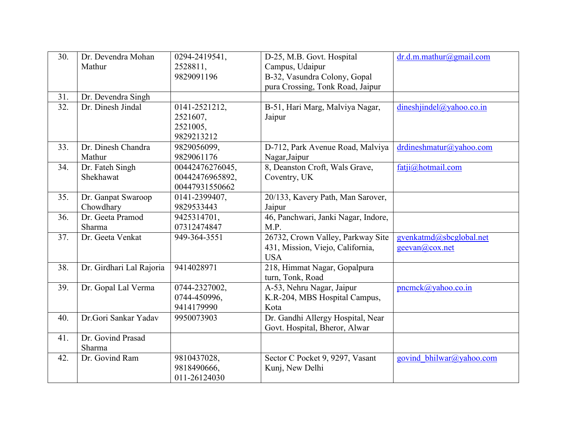| 30. | Dr. Devendra Mohan       | 0294-2419541,   | D-25, M.B. Govt. Hospital           | dr.d.m.mathur@gmail.com  |
|-----|--------------------------|-----------------|-------------------------------------|--------------------------|
|     | Mathur                   | 2528811,        | Campus, Udaipur                     |                          |
|     |                          | 9829091196      | B-32, Vasundra Colony, Gopal        |                          |
|     |                          |                 | pura Crossing, Tonk Road, Jaipur    |                          |
| 31. | Dr. Devendra Singh       |                 |                                     |                          |
| 32. | Dr. Dinesh Jindal        | 0141-2521212,   | B-51, Hari Marg, Malviya Nagar,     | dineshjindel@yahoo.co.in |
|     |                          | 2521607,        | Jaipur                              |                          |
|     |                          | 2521005,        |                                     |                          |
|     |                          | 9829213212      |                                     |                          |
| 33. | Dr. Dinesh Chandra       | 9829056099,     | D-712, Park Avenue Road, Malviya    | drdineshmatur@yahoo.com  |
|     | Mathur                   | 9829061176      | Nagar, Jaipur                       |                          |
| 34. | Dr. Fateh Singh          | 00442476276045, | 8, Deanston Croft, Wals Grave,      | fatji@hotmail.com        |
|     | Shekhawat                | 00442476965892, | Coventry, UK                        |                          |
|     |                          | 00447931550662  |                                     |                          |
| 35. | Dr. Ganpat Swaroop       | 0141-2399407,   | 20/133, Kavery Path, Man Sarover,   |                          |
|     | Chowdhary                | 9829533443      | Jaipur                              |                          |
| 36. | Dr. Geeta Pramod         | 9425314701,     | 46, Panchwari, Janki Nagar, Indore, |                          |
|     | Sharma                   | 07312474847     | M.P.                                |                          |
| 37. | Dr. Geeta Venkat         | 949-364-3551    | 26732, Crown Valley, Parkway Site   | gvenkatmd@sbcglobal.net  |
|     |                          |                 | 431, Mission, Viejo, California,    | geevan@cox.net           |
|     |                          |                 | <b>USA</b>                          |                          |
| 38. | Dr. Girdhari Lal Rajoria | 9414028971      | 218, Himmat Nagar, Gopalpura        |                          |
|     |                          |                 | turn, Tonk, Road                    |                          |
| 39. | Dr. Gopal Lal Verma      | 0744-2327002,   | A-53, Nehru Nagar, Jaipur           | $pncmck(a)$ yahoo.co.in  |
|     |                          | 0744-450996,    | K.R-204, MBS Hospital Campus,       |                          |
|     |                          | 9414179990      | Kota                                |                          |
| 40. | Dr.Gori Sankar Yadav     | 9950073903      | Dr. Gandhi Allergy Hospital, Near   |                          |
|     |                          |                 | Govt. Hospital, Bheror, Alwar       |                          |
| 41. | Dr. Govind Prasad        |                 |                                     |                          |
|     | Sharma                   |                 |                                     |                          |
| 42. | Dr. Govind Ram           | 9810437028,     | Sector C Pocket 9, 9297, Vasant     | govind bhilwar@yahoo.com |
|     |                          | 9818490666,     | Kunj, New Delhi                     |                          |
|     |                          | 011-26124030    |                                     |                          |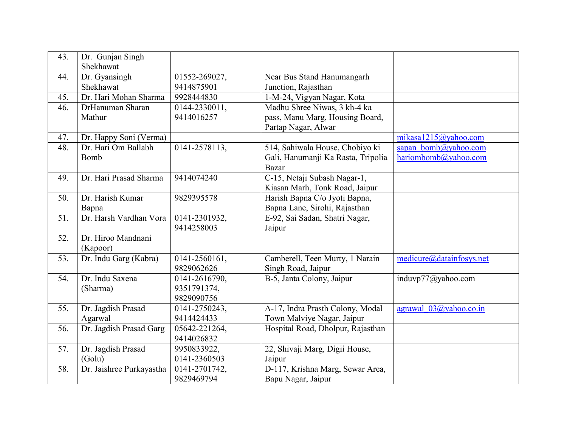| 43. | Dr. Gunjan Singh<br>Shekhawat |               |                                    |                                |
|-----|-------------------------------|---------------|------------------------------------|--------------------------------|
| 44. | Dr. Gyansingh                 | 01552-269027, | Near Bus Stand Hanumangarh         |                                |
|     | Shekhawat                     | 9414875901    | Junction, Rajasthan                |                                |
| 45. | Dr. Hari Mohan Sharma         | 9928444830    | 1-M-24, Vigyan Nagar, Kota         |                                |
| 46. | DrHanuman Sharan              | 0144-2330011, | Madhu Shree Niwas, 3 kh-4 ka       |                                |
|     | Mathur                        | 9414016257    | pass, Manu Marg, Housing Board,    |                                |
|     |                               |               | Partap Nagar, Alwar                |                                |
| 47. | Dr. Happy Soni (Verma)        |               |                                    | mikasa1215@yahoo.com           |
| 48. | Dr. Hari Om Ballabh           | 0141-2578113, | 514, Sahiwala House, Chobiyo ki    | sapan bomb@yahoo.com           |
|     | Bomb                          |               | Gali, Hanumanji Ka Rasta, Tripolia | hariombomb@yahoo.com           |
|     |                               |               | <b>Bazar</b>                       |                                |
| 49. | Dr. Hari Prasad Sharma        | 9414074240    | C-15, Netaji Subash Nagar-1,       |                                |
|     |                               |               | Kiasan Marh, Tonk Road, Jaipur     |                                |
| 50. | Dr. Harish Kumar              | 9829395578    | Harish Bapna C/o Jyoti Bapna,      |                                |
|     | Bapna                         |               | Bapna Lane, Sirohi, Rajasthan      |                                |
| 51. | Dr. Harsh Vardhan Vora        | 0141-2301932, | E-92, Sai Sadan, Shatri Nagar,     |                                |
|     |                               | 9414258003    | Jaipur                             |                                |
| 52. | Dr. Hiroo Mandnani            |               |                                    |                                |
|     | (Kapoor)                      |               |                                    |                                |
| 53. | Dr. Indu Garg (Kabra)         | 0141-2560161, | Camberell, Teen Murty, 1 Narain    | medicure@datainfosys.net       |
|     |                               | 9829062626    | Singh Road, Jaipur                 |                                |
| 54. | Dr. Indu Saxena               | 0141-2616790, | B-5, Janta Colony, Jaipur          | induvp77@yahoo.com             |
|     | (Sharma)                      | 9351791374,   |                                    |                                |
|     |                               | 9829090756    |                                    |                                |
| 55. | Dr. Jagdish Prasad            | 0141-2750243, | A-17, Indra Prasth Colony, Modal   | agrawal $03\omega$ yahoo.co.in |
|     | Agarwal                       | 9414424433    | Town Malviye Nagar, Jaipur         |                                |
| 56. | Dr. Jagdish Prasad Garg       | 05642-221264, | Hospital Road, Dholpur, Rajasthan  |                                |
|     |                               | 9414026832    |                                    |                                |
| 57. | Dr. Jagdish Prasad            | 9950833922,   | 22, Shivaji Marg, Digii House,     |                                |
|     | (Golu)                        | 0141-2360503  | Jaipur                             |                                |
| 58. | Dr. Jaishree Purkayastha      | 0141-2701742, | D-117, Krishna Marg, Sewar Area,   |                                |
|     |                               | 9829469794    | Bapu Nagar, Jaipur                 |                                |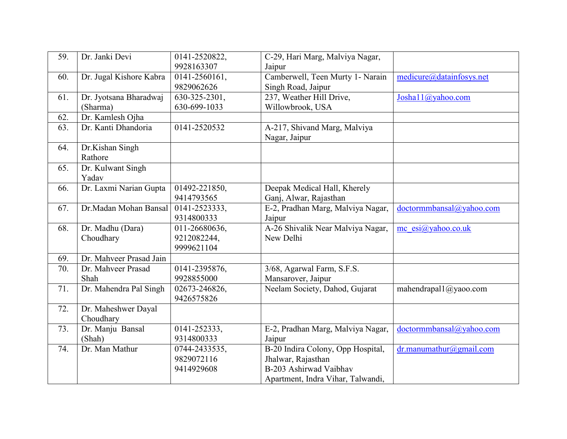| 59.               | Dr. Janki Devi          | 0141-2520822, | C-29, Hari Marg, Malviya Nagar,   |                            |
|-------------------|-------------------------|---------------|-----------------------------------|----------------------------|
|                   |                         | 9928163307    | Jaipur                            |                            |
| 60.               | Dr. Jugal Kishore Kabra | 0141-2560161, | Camberwell, Teen Murty 1- Narain  | medicure@datainfosys.net   |
|                   |                         | 9829062626    | Singh Road, Jaipur                |                            |
| 61.               | Dr. Jyotsana Bharadwaj  | 630-325-2301, | 237, Weather Hill Drive,          | Josha $11@$ yahoo.com      |
|                   | (Sharma)                | 630-699-1033  | Willowbrook, USA                  |                            |
| 62.               | Dr. Kamlesh Ojha        |               |                                   |                            |
| $\overline{63}$ . | Dr. Kanti Dhandoria     | 0141-2520532  | A-217, Shivand Marg, Malviya      |                            |
|                   |                         |               | Nagar, Jaipur                     |                            |
| 64.               | Dr.Kishan Singh         |               |                                   |                            |
|                   | Rathore                 |               |                                   |                            |
| 65.               | Dr. Kulwant Singh       |               |                                   |                            |
|                   | Yadav                   |               |                                   |                            |
| 66.               | Dr. Laxmi Narian Gupta  | 01492-221850, | Deepak Medical Hall, Kherely      |                            |
|                   |                         | 9414793565    | Ganj, Alwar, Rajasthan            |                            |
| 67.               | Dr.Madan Mohan Bansal   | 0141-2523333, | E-2, Pradhan Marg, Malviya Nagar, | doctormmbansal@yahoo.com   |
|                   |                         | 9314800333    | Jaipur                            |                            |
| 68.               | Dr. Madhu (Dara)        | 011-26680636, | A-26 Shivalik Near Malviya Nagar, | mc $esi@yahoo.co.uk$       |
|                   | Choudhary               | 9212082244,   | New Delhi                         |                            |
|                   |                         | 9999621104    |                                   |                            |
| 69.               | Dr. Mahveer Prasad Jain |               |                                   |                            |
| 70.               | Dr. Mahveer Prasad      | 0141-2395876, | 3/68, Agarwal Farm, S.F.S.        |                            |
|                   | Shah                    | 9928855000    | Mansarover, Jaipur                |                            |
| 71.               | Dr. Mahendra Pal Singh  | 02673-246826, | Neelam Society, Dahod, Gujarat    | mahendrapal1@yaoo.com      |
|                   |                         | 9426575826    |                                   |                            |
| 72.               | Dr. Maheshwer Dayal     |               |                                   |                            |
|                   | Choudhary               |               |                                   |                            |
| 73.               | Dr. Manju Bansal        | 0141-252333,  | E-2, Pradhan Marg, Malviya Nagar, | doctormmbansal@yahoo.com   |
|                   | (Shah)                  | 9314800333    | Jaipur                            |                            |
| 74.               | Dr. Man Mathur          | 0744-2433535, | B-20 Indira Colony, Opp Hospital, | $dr$ .manumathur@gmail.com |
|                   |                         | 9829072116    | Jhalwar, Rajasthan                |                            |
|                   |                         | 9414929608    | B-203 Ashirwad Vaibhav            |                            |
|                   |                         |               | Apartment, Indra Vihar, Talwandi, |                            |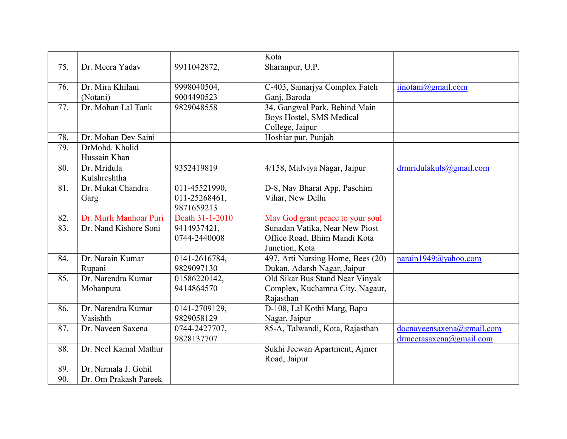|                   |                                 |                                              | Kota                                                                             |                                                      |
|-------------------|---------------------------------|----------------------------------------------|----------------------------------------------------------------------------------|------------------------------------------------------|
| 75.               | Dr. Meera Yadav                 | 9911042872,                                  | Sharanpur, U.P.                                                                  |                                                      |
| 76.               | Dr. Mira Khilani<br>(Notani)    | 9998040504,<br>9004490523                    | C-403, Samarjya Complex Fateh<br>Ganj, Baroda                                    | $i$ inotani $(a)$ gmail.com                          |
| 77.               | Dr. Mohan Lal Tank              | 9829048558                                   | 34, Gangwal Park, Behind Main<br>Boys Hostel, SMS Medical<br>College, Jaipur     |                                                      |
| 78.               | Dr. Mohan Dev Saini             |                                              | Hoshiar pur, Punjab                                                              |                                                      |
| 79.               | DrMohd. Khalid<br>Hussain Khan  |                                              |                                                                                  |                                                      |
| 80.               | Dr. Mridula<br>Kulshreshtha     | 9352419819                                   | 4/158, Malviya Nagar, Jaipur                                                     | $d$ rmridulakuls@gmail.com                           |
| 81.               | Dr. Mukat Chandra<br>Garg       | 011-45521990,<br>011-25268461,<br>9871659213 | D-8, Nav Bharat App, Paschim<br>Vihar, New Delhi                                 |                                                      |
| 82.               | Dr. Murli Manhoar Puri          | Death 31-1-2010                              | May God grant peace to your soul                                                 |                                                      |
| 83.               | Dr. Nand Kishore Soni           | 9414937421,<br>0744-2440008                  | Sunadan Vatika, Near New Piost<br>Office Road, Bhim Mandi Kota<br>Junction, Kota |                                                      |
| 84.               | Dr. Narain Kumar<br>Rupani      | 0141-2616784,<br>9829097130                  | 497, Arti Nursing Home, Bees (20)<br>Dukan, Adarsh Nagar, Jaipur                 | narain1949@yahoo.com                                 |
| 85.               | Dr. Narendra Kumar<br>Mohanpura | 01586220142,<br>9414864570                   | Old Sikar Bus Stand Near Vinyak<br>Complex, Kuchamna City, Nagaur,<br>Rajasthan  |                                                      |
| 86.               | Dr. Narendra Kumar<br>Vasishth  | 0141-2709129,<br>9829058129                  | D-108, Lal Kothi Marg, Bapu<br>Nagar, Jaipur                                     |                                                      |
| 87.               | Dr. Naveen Saxena               | 0744-2427707,<br>9828137707                  | 85-A, Talwandi, Kota, Rajasthan                                                  | docnaveensaxena@gmail.com<br>drmeerasaxena@gmail.com |
| 88.               | Dr. Neel Kamal Mathur           |                                              | Sukhi Jeewan Apartment, Ajmer<br>Road, Jaipur                                    |                                                      |
| 89.               | Dr. Nirmala J. Gohil            |                                              |                                                                                  |                                                      |
| $\overline{90}$ . | Dr. Om Prakash Pareek           |                                              |                                                                                  |                                                      |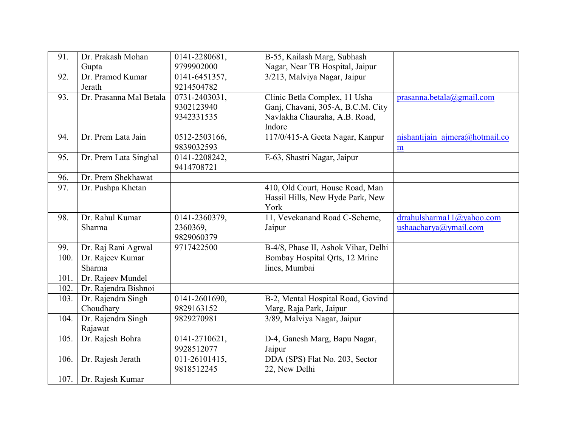| 91.  | Dr. Prakash Mohan       | 0141-2280681, | B-55, Kailash Marg, Subhash         |                                |
|------|-------------------------|---------------|-------------------------------------|--------------------------------|
|      | Gupta                   | 9799902000    | Nagar, Near TB Hospital, Jaipur     |                                |
| 92.  | Dr. Pramod Kumar        | 0141-6451357, | 3/213, Malviya Nagar, Jaipur        |                                |
|      | Jerath                  | 9214504782    |                                     |                                |
| 93.  | Dr. Prasanna Mal Betala | 0731-2403031, | Clinic Betla Complex, 11 Usha       | prasanna. betala@gmail.com     |
|      |                         | 9302123940    | Ganj, Chavani, 305-A, B.C.M. City   |                                |
|      |                         | 9342331535    | Navlakha Chauraha, A.B. Road,       |                                |
|      |                         |               | Indore                              |                                |
| 94.  | Dr. Prem Lata Jain      | 0512-2503166, | 117/0/415-A Geeta Nagar, Kanpur     | nishantijain ajmera@hotmail.co |
|      |                         | 9839032593    |                                     | $\underline{\mathbf{m}}$       |
| 95.  | Dr. Prem Lata Singhal   | 0141-2208242, | E-63, Shastri Nagar, Jaipur         |                                |
|      |                         | 9414708721    |                                     |                                |
| 96.  | Dr. Prem Shekhawat      |               |                                     |                                |
| 97.  | Dr. Pushpa Khetan       |               | 410, Old Court, House Road, Man     |                                |
|      |                         |               | Hassil Hills, New Hyde Park, New    |                                |
|      |                         |               | York                                |                                |
| 98.  | Dr. Rahul Kumar         | 0141-2360379, | 11, Vevekanand Road C-Scheme,       | drrahulsharma11@yahoo.com      |
|      | Sharma                  | 2360369,      | Jaipur                              | ushaacharya@ymail.com          |
|      |                         | 9829060379    |                                     |                                |
| 99.  | Dr. Raj Rani Agrwal     | 9717422500    | B-4/8, Phase II, Ashok Vihar, Delhi |                                |
| 100. | Dr. Rajeev Kumar        |               | Bombay Hospital Qrts, 12 Mrine      |                                |
|      | Sharma                  |               | lines, Mumbai                       |                                |
| 101. | Dr. Rajeev Mundel       |               |                                     |                                |
| 102. | Dr. Rajendra Bishnoi    |               |                                     |                                |
| 103. | Dr. Rajendra Singh      | 0141-2601690, | B-2, Mental Hospital Road, Govind   |                                |
|      | Choudhary               | 9829163152    | Marg, Raja Park, Jaipur             |                                |
| 104. | Dr. Rajendra Singh      | 9829270981    | 3/89, Malviya Nagar, Jaipur         |                                |
|      | Rajawat                 |               |                                     |                                |
| 105. | Dr. Rajesh Bohra        | 0141-2710621, | D-4, Ganesh Marg, Bapu Nagar,       |                                |
|      |                         | 9928512077    | Jaipur                              |                                |
| 106. | Dr. Rajesh Jerath       | 011-26101415, | DDA (SPS) Flat No. 203, Sector      |                                |
|      |                         | 9818512245    | 22, New Delhi                       |                                |
| 107. | Dr. Rajesh Kumar        |               |                                     |                                |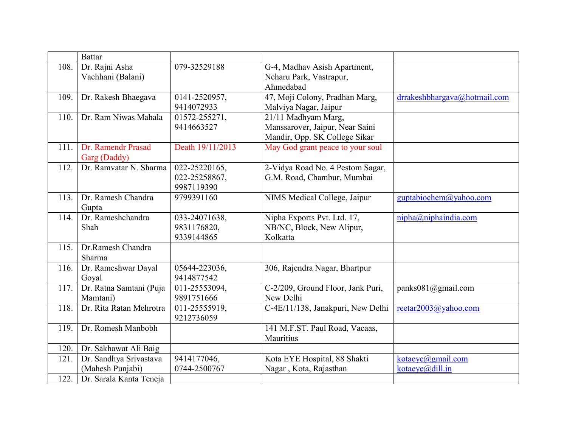|      | <b>Battar</b>                              |                                              |                                                                                         |                                        |
|------|--------------------------------------------|----------------------------------------------|-----------------------------------------------------------------------------------------|----------------------------------------|
| 108. | Dr. Rajni Asha<br>Vachhani (Balani)        | 079-32529188                                 | G-4, Madhav Asish Apartment,<br>Neharu Park, Vastrapur,<br>Ahmedabad                    |                                        |
| 109. | Dr. Rakesh Bhaegava                        | 0141-2520957,<br>9414072933                  | 47, Moji Colony, Pradhan Marg,<br>Malviya Nagar, Jaipur                                 | drrakeshbhargava@hotmail.com           |
| 110. | Dr. Ram Niwas Mahala                       | 01572-255271,<br>9414663527                  | 21/11 Madhyam Marg,<br>Manssarover, Jaipur, Near Saini<br>Mandir, Opp. SK College Sikar |                                        |
| 111. | Dr. Ramendr Prasad<br>Garg (Daddy)         | Death 19/11/2013                             | May God grant peace to your soul                                                        |                                        |
| 112. | Dr. Ramvatar N. Sharma                     | 022-25220165,<br>022-25258867,<br>9987119390 | 2-Vidya Road No. 4 Pestom Sagar,<br>G.M. Road, Chambur, Mumbai                          |                                        |
| 113. | Dr. Ramesh Chandra<br>Gupta                | 9799391160                                   | NIMS Medical College, Jaipur                                                            | guptabiochem@yahoo.com                 |
| 114. | Dr. Rameshchandra<br>Shah                  | 033-24071638,<br>9831176820,<br>9339144865   | Nipha Exports Pvt. Ltd. 17,<br>NB/NC, Block, New Alipur,<br>Kolkatta                    | nipha@niphaindia.com                   |
| 115. | Dr.Ramesh Chandra<br>Sharma                |                                              |                                                                                         |                                        |
| 116. | Dr. Rameshwar Dayal<br>Goyal               | 05644-223036,<br>9414877542                  | 306, Rajendra Nagar, Bhartpur                                                           |                                        |
| 117. | Dr. Ratna Samtani (Puja<br>Mamtani)        | 011-25553094,<br>9891751666                  | C-2/209, Ground Floor, Jank Puri,<br>New Delhi                                          | panks $081$ ( $\partial$ ) gmail.com   |
| 118. | Dr. Rita Ratan Mehrotra                    | 011-25555919,<br>9212736059                  | C-4E/11/138, Janakpuri, New Delhi                                                       | reetar2003@yahoo.com                   |
| 119. | Dr. Romesh Manbobh                         |                                              | 141 M.F.ST. Paul Road, Vacaas,<br>Mauritius                                             |                                        |
| 120. | Dr. Sakhawat Ali Baig                      |                                              |                                                                                         |                                        |
| 121. | Dr. Sandhya Srivastava<br>(Mahesh Punjabi) | 9414177046,<br>0744-2500767                  | Kota EYE Hospital, 88 Shakti<br>Nagar, Kota, Rajasthan                                  | kotaeye(a)gmail.com<br>kotaeye@dill.in |
| 122. | Dr. Sarala Kanta Teneja                    |                                              |                                                                                         |                                        |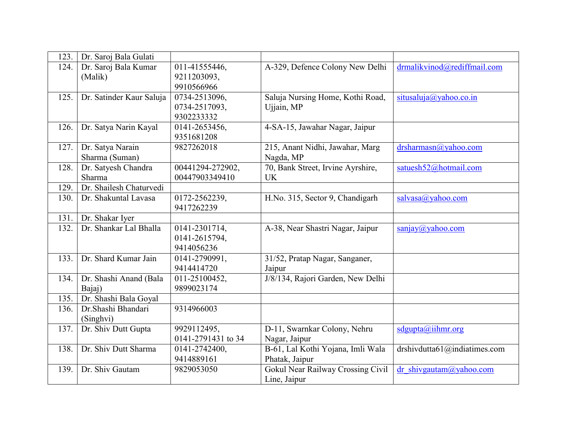| 123. | Dr. Saroj Bala Gulati    |                    |                                   |                                                           |
|------|--------------------------|--------------------|-----------------------------------|-----------------------------------------------------------|
| 124. | Dr. Saroj Bala Kumar     | 011-41555446,      | A-329, Defence Colony New Delhi   | drmalikvinod@rediffmail.com                               |
|      | (Malik)                  | 9211203093,        |                                   |                                                           |
|      |                          | 9910566966         |                                   |                                                           |
| 125. | Dr. Satinder Kaur Saluja | 0734-2513096,      | Saluja Nursing Home, Kothi Road,  | situsaluja@yahoo.co.in                                    |
|      |                          | 0734-2517093,      | Ujjain, MP                        |                                                           |
|      |                          | 9302233332         |                                   |                                                           |
| 126. | Dr. Satya Narin Kayal    | 0141-2653456,      | 4-SA-15, Jawahar Nagar, Jaipur    |                                                           |
|      |                          | 9351681208         |                                   |                                                           |
| 127. | Dr. Satya Narain         | 9827262018         | 215, Anant Nidhi, Jawahar, Marg   | $drsharmasn(a)$ yahoo.com                                 |
|      | Sharma (Suman)           |                    | Nagda, MP                         |                                                           |
| 128. | Dr. Satyesh Chandra      | 00441294-272902,   | 70, Bank Street, Irvine Ayrshire, | satuesh52@hotmail.com                                     |
|      | Sharma                   | 00447903349410     | <b>UK</b>                         |                                                           |
| 129. | Dr. Shailesh Chaturvedi  |                    |                                   |                                                           |
| 130. | Dr. Shakuntal Lavasa     | 0172-2562239,      | H.No. 315, Sector 9, Chandigarh   | salvasa@yahoo.com                                         |
|      |                          | 9417262239         |                                   |                                                           |
| 131. | Dr. Shakar Iyer          |                    |                                   |                                                           |
| 132. | Dr. Shankar Lal Bhalla   | 0141-2301714,      | A-38, Near Shastri Nagar, Jaipur  | $\frac{\text{san}(\alpha)}{\text{san}(\alpha)}$ yahoo.com |
|      |                          | 0141-2615794,      |                                   |                                                           |
|      |                          | 9414056236         |                                   |                                                           |
| 133. | Dr. Shard Kumar Jain     | 0141-2790991,      | 31/52, Pratap Nagar, Sanganer,    |                                                           |
|      |                          | 9414414720         | Jaipur                            |                                                           |
| 134. | Dr. Shashi Anand (Bala   | 011-25100452,      | J/8/134, Rajori Garden, New Delhi |                                                           |
|      | Bajaj)                   | 9899023174         |                                   |                                                           |
| 135. | Dr. Shashi Bala Goyal    |                    |                                   |                                                           |
| 136. | Dr.Shashi Bhandari       | 9314966003         |                                   |                                                           |
|      | (Singhvi)                |                    |                                   |                                                           |
| 137. | Dr. Shiv Dutt Gupta      | 9929112495,        | D-11, Swarnkar Colony, Nehru      | $sd$ gupta@iihmr.org                                      |
|      |                          | 0141-2791431 to 34 | Nagar, Jaipur                     |                                                           |
| 138. | Dr. Shiv Dutt Sharma     | 0141-2742400,      | B-61, Lal Kothi Yojana, Imli Wala | drshivdutta $61$ @indiatimes.com                          |
|      |                          | 9414889161         | Phatak, Jaipur                    |                                                           |
| 139. | Dr. Shiv Gautam          | 9829053050         | Gokul Near Railway Crossing Civil | dr shivgautam@yahoo.com                                   |
|      |                          |                    | Line, Jaipur                      |                                                           |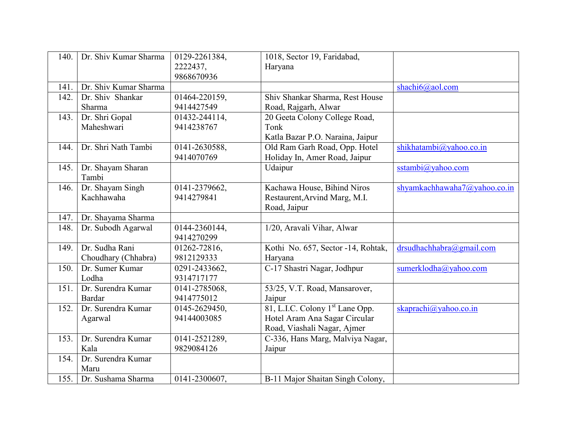| 140. | Dr. Shiv Kumar Sharma | 0129-2261384, | 1018, Sector 19, Faridabad,                 |                              |
|------|-----------------------|---------------|---------------------------------------------|------------------------------|
|      |                       | 2222437.      | Haryana                                     |                              |
|      |                       | 9868670936    |                                             |                              |
| 141. | Dr. Shiv Kumar Sharma |               |                                             | shachi6@aol.com              |
| 142. | Dr. Shiv Shankar      | 01464-220159, | Shiv Shankar Sharma, Rest House             |                              |
|      | Sharma                | 9414427549    | Road, Rajgarh, Alwar                        |                              |
| 143. | Dr. Shri Gopal        | 01432-244114, | 20 Geeta Colony College Road,               |                              |
|      | Maheshwari            | 9414238767    | Tonk                                        |                              |
|      |                       |               | Katla Bazar P.O. Naraina, Jaipur            |                              |
| 144. | Dr. Shri Nath Tambi   | 0141-2630588, | Old Ram Garh Road, Opp. Hotel               | shikhatambi@yahoo.co.in      |
|      |                       | 9414070769    | Holiday In, Amer Road, Jaipur               |                              |
| 145. | Dr. Shayam Sharan     |               | Udaipur                                     | sstambi@yahoo.com            |
|      | Tambi                 |               |                                             |                              |
| 146. | Dr. Shayam Singh      | 0141-2379662, | Kachawa House, Bihind Niros                 | shyamkachhawaha7@yahoo.co.in |
|      | Kachhawaha            | 9414279841    | Restaurent, Arvind Marg, M.I.               |                              |
|      |                       |               | Road, Jaipur                                |                              |
| 147. | Dr. Shayama Sharma    |               |                                             |                              |
| 148. | Dr. Subodh Agarwal    | 0144-2360144, | $\overline{1/20}$ , Aravali Vihar, Alwar    |                              |
|      |                       | 9414270299    |                                             |                              |
| 149. | Dr. Sudha Rani        | 01262-72816,  | Kothi No. 657, Sector -14, Rohtak,          | drsudhachhabra@gmail.com     |
|      | Choudhary (Chhabra)   | 9812129333    | Haryana                                     |                              |
| 150. | Dr. Sumer Kumar       | 0291-2433662, | C-17 Shastri Nagar, Jodhpur                 | sumerklodha@yahoo.com        |
|      | Lodha                 | 9314717177    |                                             |                              |
| 151. | Dr. Surendra Kumar    | 0141-2785068, | 53/25, V.T. Road, Mansarover,               |                              |
|      | Bardar                | 9414775012    | Jaipur                                      |                              |
| 152. | Dr. Surendra Kumar    | 0145-2629450, | 81, L.I.C. Colony 1 <sup>st</sup> Lane Opp. | skaprachi@yahoo.co.in        |
|      | Agarwal               | 94144003085   | Hotel Aram Ana Sagar Circular               |                              |
|      |                       |               | Road, Viashali Nagar, Ajmer                 |                              |
| 153. | Dr. Surendra Kumar    | 0141-2521289, | C-336, Hans Marg, Malviya Nagar,            |                              |
|      | Kala                  | 9829084126    | Jaipur                                      |                              |
| 154. | Dr. Surendra Kumar    |               |                                             |                              |
|      | Maru                  |               |                                             |                              |
| 155. | Dr. Sushama Sharma    | 0141-2300607, | B-11 Major Shaitan Singh Colony,            |                              |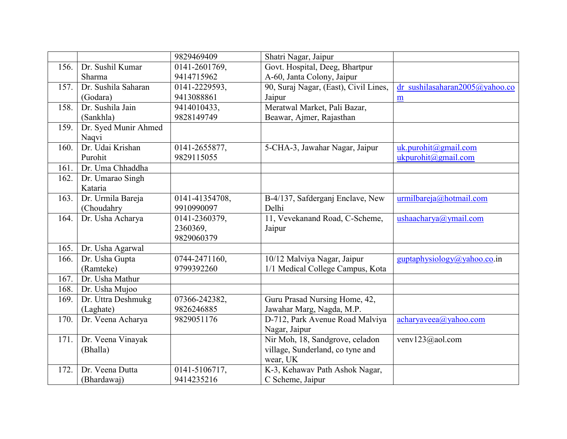|      |                      | 9829469409     | Shatri Nagar, Jaipur                  |                                    |
|------|----------------------|----------------|---------------------------------------|------------------------------------|
| 156. | Dr. Sushil Kumar     | 0141-2601769,  | Govt. Hospital, Deeg, Bhartpur        |                                    |
|      | Sharma               | 9414715962     | A-60, Janta Colony, Jaipur            |                                    |
| 157. | Dr. Sushila Saharan  | 0141-2229593,  | 90, Suraj Nagar, (East), Civil Lines, | dr sushilasaharan $2005$ @yahoo.co |
|      | (Godara)             | 9413088861     | Jaipur                                | $\underline{m}$                    |
| 158. | Dr. Sushila Jain     | 9414010433,    | Meratwal Market, Pali Bazar,          |                                    |
|      | (Sankhla)            | 9828149749     | Beawar, Ajmer, Rajasthan              |                                    |
| 159. | Dr. Syed Munir Ahmed |                |                                       |                                    |
|      | Naqvi                |                |                                       |                                    |
| 160. | Dr. Udai Krishan     | 0141-2655877,  | 5-CHA-3, Jawahar Nagar, Jaipur        | $uk.$ purohit@gmail.com            |
|      | Purohit              | 9829115055     |                                       | ukpurohit@gmail.com                |
| 161. | Dr. Uma Chhaddha     |                |                                       |                                    |
| 162. | Dr. Umarao Singh     |                |                                       |                                    |
|      | Kataria              |                |                                       |                                    |
| 163. | Dr. Urmila Bareja    | 0141-41354708, | B-4/137, Safderganj Enclave, New      | urmilbareja@hotmail.com            |
|      | (Choudahry           | 9910990097     | Delhi                                 |                                    |
| 164. | Dr. Usha Acharya     | 0141-2360379,  | 11, Vevekanand Road, C-Scheme,        | ushaacharya@ymail.com              |
|      |                      | 2360369,       | Jaipur                                |                                    |
|      |                      | 9829060379     |                                       |                                    |
| 165. | Dr. Usha Agarwal     |                |                                       |                                    |
| 166. | Dr. Usha Gupta       | 0744-2471160,  | 10/12 Malviya Nagar, Jaipur           | guptaphysiology@yahoo.co.in        |
|      | (Ramteke)            | 9799392260     | 1/1 Medical College Campus, Kota      |                                    |
| 167. | Dr. Usha Mathur      |                |                                       |                                    |
| 168. | Dr. Usha Mujoo       |                |                                       |                                    |
| 169. | Dr. Uttra Deshmukg   | 07366-242382,  | Guru Prasad Nursing Home, 42,         |                                    |
|      | (Laghate)            | 9826246885     | Jawahar Marg, Nagda, M.P.             |                                    |
| 170. | Dr. Veena Acharya    | 9829051176     | D-712, Park Avenue Road Malviya       | acharyaveea@yahoo.com              |
|      |                      |                | Nagar, Jaipur                         |                                    |
| 171. | Dr. Veena Vinayak    |                | Nir Moh, 18, Sandgrove, celadon       | venv123@aol.com                    |
|      | (Bhalla)             |                | village, Sunderland, co tyne and      |                                    |
|      |                      |                | wear, UK                              |                                    |
| 172. | Dr. Veena Dutta      | 0141-5106717,  | K-3, Kehawav Path Ashok Nagar,        |                                    |
|      | (Bhardawaj)          | 9414235216     | C Scheme, Jaipur                      |                                    |